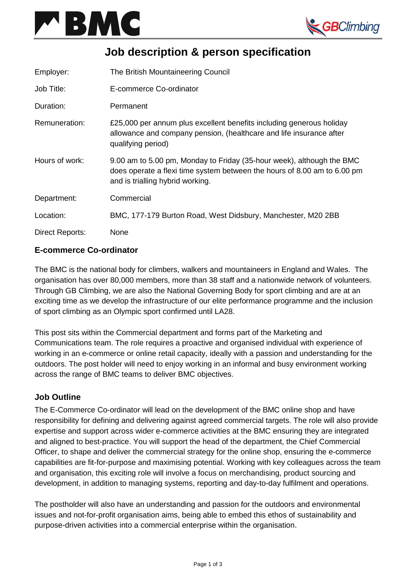



# **Job description & person specification**

| Employer:       | The British Mountaineering Council                                                                                                                                                    |
|-----------------|---------------------------------------------------------------------------------------------------------------------------------------------------------------------------------------|
| Job Title:      | E-commerce Co-ordinator                                                                                                                                                               |
| Duration:       | Permanent                                                                                                                                                                             |
| Remuneration:   | £25,000 per annum plus excellent benefits including generous holiday<br>allowance and company pension, (healthcare and life insurance after<br>qualifying period)                     |
| Hours of work:  | 9.00 am to 5.00 pm, Monday to Friday (35-hour week), although the BMC<br>does operate a flexi time system between the hours of 8.00 am to 6.00 pm<br>and is trialling hybrid working. |
| Department:     | Commercial                                                                                                                                                                            |
| Location:       | BMC, 177-179 Burton Road, West Didsbury, Manchester, M20 2BB                                                                                                                          |
| Direct Reports: | None                                                                                                                                                                                  |

## **E-commerce Co-ordinator**

The BMC is the national body for climbers, walkers and mountaineers in England and Wales. The organisation has over 80,000 members, more than 38 staff and a nationwide network of volunteers. Through GB Climbing, we are also the National Governing Body for sport climbing and are at an exciting time as we develop the infrastructure of our elite performance programme and the inclusion of sport climbing as an Olympic sport confirmed until LA28.

This post sits within the Commercial department and forms part of the Marketing and Communications team. The role requires a proactive and organised individual with experience of working in an e-commerce or online retail capacity, ideally with a passion and understanding for the outdoors. The post holder will need to enjoy working in an informal and busy environment working across the range of BMC teams to deliver BMC objectives.

## **Job Outline**

The E-Commerce Co-ordinator will lead on the development of the BMC online shop and have responsibility for defining and delivering against agreed commercial targets. The role will also provide expertise and support across wider e-commerce activities at the BMC ensuring they are integrated and aligned to best-practice. You will support the head of the department, the Chief Commercial Officer, to shape and deliver the commercial strategy for the online shop, ensuring the e-commerce capabilities are fit-for-purpose and maximising potential. Working with key colleagues across the team and organisation, this exciting role will involve a focus on merchandising, product sourcing and development, in addition to managing systems, reporting and day-to-day fulfilment and operations.

The postholder will also have an understanding and passion for the outdoors and environmental issues and not-for-profit organisation aims, being able to embed this ethos of sustainability and purpose-driven activities into a commercial enterprise within the organisation.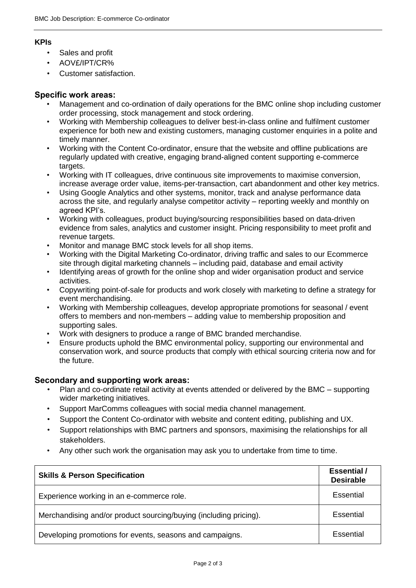#### **KPIs**

- Sales and profit
- AOV£/IPT/CR%
- Customer satisfaction.

### **Specific work areas:**

- Management and co-ordination of daily operations for the BMC online shop including customer order processing, stock management and stock ordering.
- Working with Membership colleagues to deliver best-in-class online and fulfilment customer experience for both new and existing customers, managing customer enquiries in a polite and timely manner.
- Working with the Content Co-ordinator, ensure that the website and offline publications are regularly updated with creative, engaging brand-aligned content supporting e-commerce targets.
- Working with IT colleagues, drive continuous site improvements to maximise conversion, increase average order value, items-per-transaction, cart abandonment and other key metrics.
- Using Google Analytics and other systems, monitor, track and analyse performance data across the site, and regularly analyse competitor activity – reporting weekly and monthly on agreed KPI's.
- Working with colleagues, product buying/sourcing responsibilities based on data-driven evidence from sales, analytics and customer insight. Pricing responsibility to meet profit and revenue targets.
- Monitor and manage BMC stock levels for all shop items.
- Working with the Digital Marketing Co-ordinator, driving traffic and sales to our Ecommerce site through digital marketing channels – including paid, database and email activity
- Identifying areas of growth for the online shop and wider organisation product and service activities.
- Copywriting point-of-sale for products and work closely with marketing to define a strategy for event merchandising.
- Working with Membership colleagues, develop appropriate promotions for seasonal / event offers to members and non-members – adding value to membership proposition and supporting sales.
- Work with designers to produce a range of BMC branded merchandise.
- Ensure products uphold the BMC environmental policy, supporting our environmental and conservation work, and source products that comply with ethical sourcing criteria now and for the future.

## **Secondary and supporting work areas:**

- Plan and co-ordinate retail activity at events attended or delivered by the BMC supporting wider marketing initiatives.
- Support MarComms colleagues with social media channel management.
- Support the Content Co-ordinator with website and content editing, publishing and UX.
- Support relationships with BMC partners and sponsors, maximising the relationships for all stakeholders.
- Any other such work the organisation may ask you to undertake from time to time.

| <b>Skills &amp; Person Specification</b>                          | <b>Essential</b> /<br><b>Desirable</b> |
|-------------------------------------------------------------------|----------------------------------------|
| Experience working in an e-commerce role.                         | Essential                              |
| Merchandising and/or product sourcing/buying (including pricing). | Essential                              |
| Developing promotions for events, seasons and campaigns.          | Essential                              |